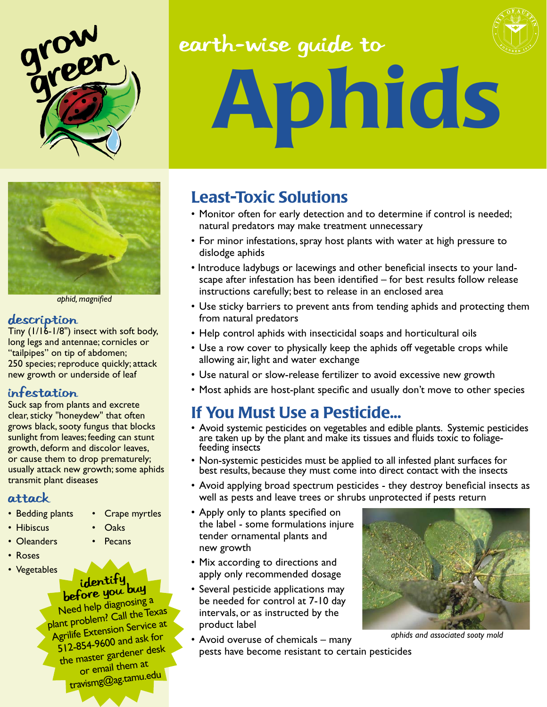



*aphid, magnified*

#### description

Tiny (1/16-1/8") insect with soft body, long legs and antennae; cornicles or "tailpipes" on tip of abdomen; 250 species; reproduce quickly; attack new growth or underside of leaf

### Infestation

Suck sap from plants and excrete clear, sticky "honeydew" that often grows black, sooty fungus that blocks sunlight from leaves; feeding can stunt growth, deform and discolor leaves, or cause them to drop prematurely; usually attack new growth; some aphids transmit plant diseases

### Attack

- Bedding plants Crape myrtles
	-
- Hibiscus Oaks
- Oleanders Pecans
- • Roses
- Vegetables

# identify<br>before you buy

Need help diagnosing <sup>a</sup> plant problem? Call the Texas Agrilife Extension Service at 512-854-9600 and ask for the master gardener desk or email them at travismg@ag.tamu.edu

# earth-wise guide to



# Aphids

# Least-Toxic Solutions

- Monitor often for early detection and to determine if control is needed; natural predators may make treatment unnecessary
- For minor infestations, spray host plants with water at high pressure to dislodge aphids
- Introduce ladybugs or lacewings and other beneficial insects to your landscape after infestation has been identified – for best results follow release instructions carefully; best to release in an enclosed area
- Use sticky barriers to prevent ants from tending aphids and protecting them from natural predators
- Help control aphids with insecticidal soaps and horticultural oils
- Use a row cover to physically keep the aphids off vegetable crops while allowing air, light and water exchange
- Use natural or slow-release fertilizer to avoid excessive new growth
- Most aphids are host-plant specific and usually don't move to other species

## If You Must Use a Pesticide...

- Avoid systemic pesticides on vegetables and edible plants. Systemic pesticides are taken up by the plant and make its tissues and fluids toxic to foliage-<br>feeding insects
- Non-systemic pesticides must be applied to all infested plant surfaces for best results, because they must come into direct contact with the insects
- Avoid applying broad spectrum pesticides they destroy beneficial insects as well as pests and leave trees or shrubs unprotected if pests return
- Apply only to plants specified on the label - some formulations injure tender ornamental plants and new growth
- Mix according to directions and apply only recommended dosage
- Several pesticide applications may be needed for control at 7-10 day intervals, or as instructed by the product label
- Avoid overuse of chemicals many pests have become resistant to certain pesticides



*aphids and associated sooty mold*